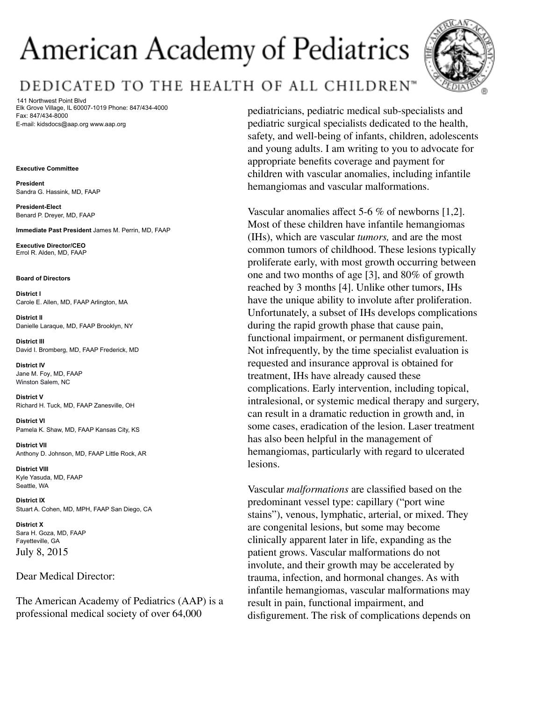# American Academy of Pediatrics

# DEDICATED TO THE HEALTH OF ALL CHILDREN"

141 Northwest Point Blvd Elk Grove Village, IL 60007-1019 Phone: 847/434-4000 Fax: 847/434-8000 E-mail: kidsdocs@aap.org www.aap.org

#### **Executive Committee**

**President** Sandra G. Hassink, MD, FAAP

**President-Elect** Benard P. Dreyer, MD, FAAP

**Immediate Past President** James M. Perrin, MD, FAAP

**Executive Director/CEO** Errol R. Alden, MD, FAAP

#### **Board of Directors**

**District I** Carole E. Allen, MD, FAAP Arlington, MA

**District II** Danielle Laraque, MD, FAAP Brooklyn, NY

**District III** David I. Bromberg, MD, FAAP Frederick, MD

**District IV** Jane M. Foy, MD, FAAP Winston Salem, NC

**District V** Richard H. Tuck, MD, FAAP Zanesville, OH

**District VI** Pamela K. Shaw, MD, FAAP Kansas City, KS

**District VII** Anthony D. Johnson, MD, FAAP Little Rock, AR

**District VIII** Kyle Yasuda, MD, FAAP Seattle, WA

**District IX** Stuart A. Cohen, MD, MPH, FAAP San Diego, CA

**District X** Sara H. Goza, MD, FAAP Fayetteville, GA July 8, 2015

### Dear Medical Director:

The American Academy of Pediatrics (AAP) is a professional medical society of over 64,000



pediatricians, pediatric medical sub-specialists and pediatric surgical specialists dedicated to the health, safety, and well-being of infants, children, adolescents and young adults. I am writing to you to advocate for appropriate benefits coverage and payment for children with vascular anomalies, including infantile hemangiomas and vascular malformations.

Vascular anomalies affect 5-6 % of newborns [1,2]. Most of these children have infantile hemangiomas (IHs), which are vascular *tumors,* and are the most common tumors of childhood. These lesions typically proliferate early, with most growth occurring between one and two months of age [3], and 80% of growth reached by 3 months [4]. Unlike other tumors, IHs have the unique ability to involute after proliferation. Unfortunately, a subset of IHs develops complications during the rapid growth phase that cause pain, functional impairment, or permanent disfigurement. Not infrequently, by the time specialist evaluation is requested and insurance approval is obtained for treatment, IHs have already caused these complications. Early intervention, including topical, intralesional, or systemic medical therapy and surgery, can result in a dramatic reduction in growth and, in some cases, eradication of the lesion. Laser treatment has also been helpful in the management of hemangiomas, particularly with regard to ulcerated lesions.

Vascular *malformations* are classified based on the predominant vessel type: capillary ("port wine stains"), venous, lymphatic, arterial, or mixed. They are congenital lesions, but some may become clinically apparent later in life, expanding as the patient grows. Vascular malformations do not involute, and their growth may be accelerated by trauma, infection, and hormonal changes. As with infantile hemangiomas, vascular malformations may result in pain, functional impairment, and disfigurement. The risk of complications depends on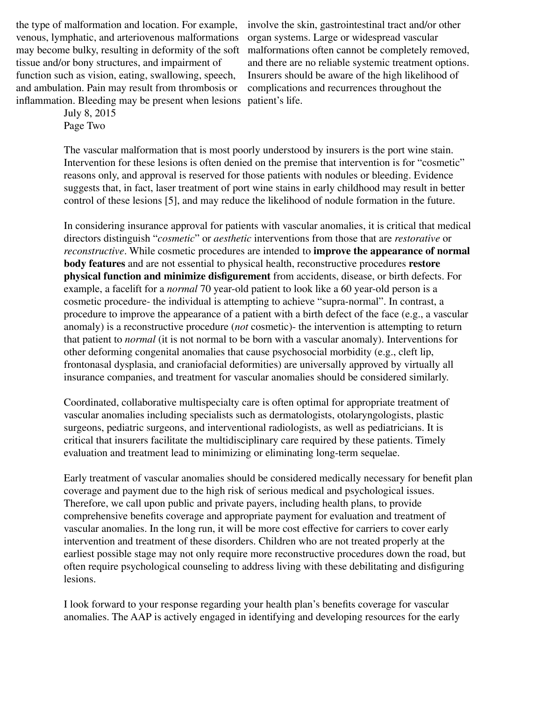the type of malformation and location. For example, venous, lymphatic, and arteriovenous malformations may become bulky, resulting in deformity of the soft malformations often cannot be completely removed, tissue and/or bony structures, and impairment of function such as vision, eating, swallowing, speech, and ambulation. Pain may result from thrombosis or inflammation. Bleeding may be present when lesions patient's life.

involve the skin, gastrointestinal tract and/or other organ systems. Large or widespread vascular and there are no reliable systemic treatment options. Insurers should be aware of the high likelihood of complications and recurrences throughout the

July 8, 2015 Page Two

The vascular malformation that is most poorly understood by insurers is the port wine stain. Intervention for these lesions is often denied on the premise that intervention is for "cosmetic" reasons only, and approval is reserved for those patients with nodules or bleeding. Evidence suggests that, in fact, laser treatment of port wine stains in early childhood may result in better control of these lesions [5], and may reduce the likelihood of nodule formation in the future.

In considering insurance approval for patients with vascular anomalies, it is critical that medical directors distinguish "*cosmetic*" or *aesthetic* interventions from those that are *restorative* or *reconstructive*. While cosmetic procedures are intended to **improve the appearance of normal body features** and are not essential to physical health, reconstructive procedures **restore physical function and minimize disfigurement** from accidents, disease, or birth defects. For example, a facelift for a *normal* 70 year-old patient to look like a 60 year-old person is a cosmetic procedure- the individual is attempting to achieve "supra-normal". In contrast, a procedure to improve the appearance of a patient with a birth defect of the face (e.g., a vascular anomaly) is a reconstructive procedure (*not* cosmetic)- the intervention is attempting to return that patient to *normal* (it is not normal to be born with a vascular anomaly). Interventions for other deforming congenital anomalies that cause psychosocial morbidity (e.g., cleft lip, frontonasal dysplasia, and craniofacial deformities) are universally approved by virtually all insurance companies, and treatment for vascular anomalies should be considered similarly.

Coordinated, collaborative multispecialty care is often optimal for appropriate treatment of vascular anomalies including specialists such as dermatologists, otolaryngologists, plastic surgeons, pediatric surgeons, and interventional radiologists, as well as pediatricians. It is critical that insurers facilitate the multidisciplinary care required by these patients. Timely evaluation and treatment lead to minimizing or eliminating long-term sequelae.

Early treatment of vascular anomalies should be considered medically necessary for benefit plan coverage and payment due to the high risk of serious medical and psychological issues. Therefore, we call upon public and private payers, including health plans, to provide comprehensive benefits coverage and appropriate payment for evaluation and treatment of vascular anomalies. In the long run, it will be more cost effective for carriers to cover early intervention and treatment of these disorders. Children who are not treated properly at the earliest possible stage may not only require more reconstructive procedures down the road, but often require psychological counseling to address living with these debilitating and disfiguring lesions.

I look forward to your response regarding your health plan's benefits coverage for vascular anomalies. The AAP is actively engaged in identifying and developing resources for the early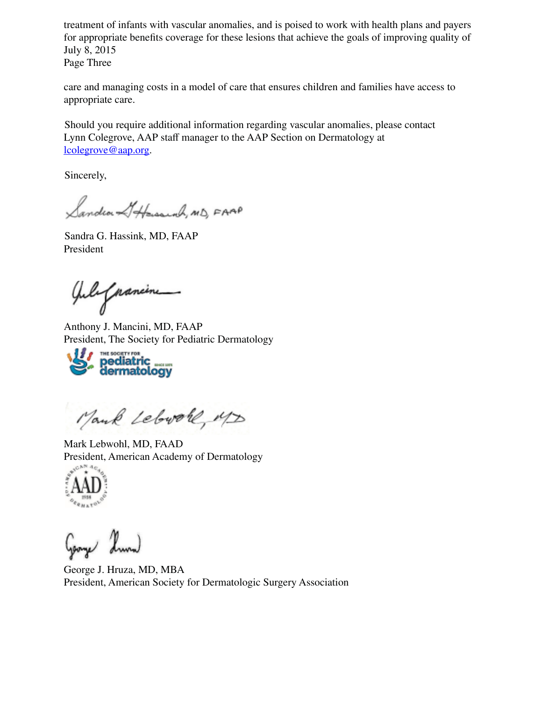treatment of infants with vascular anomalies, and is poised to work with health plans and payers for appropriate benefits coverage for these lesions that achieve the goals of improving quality of July 8, 2015

Page Three

care and managing costs in a model of care that ensures children and families have access to appropriate care.

Should you require additional information regarding vascular anomalies, please contact Lynn Colegrove, AAP staff manager to the AAP Section on Dermatology at lcolegrove@aap.org.

Sincerely,

Sandra Attensound, MD, FAAP

Sandra G. Hassink, MD, FAAP President

July paneme

Anthony J. Mancini, MD, FAAP



Mank Lebrole, MD

Mark Lebwohl, MD, FAAD President, American Academy of Dermatology



George J. Hruza, MD, MBA President, American Society for Dermatologic Surgery Association